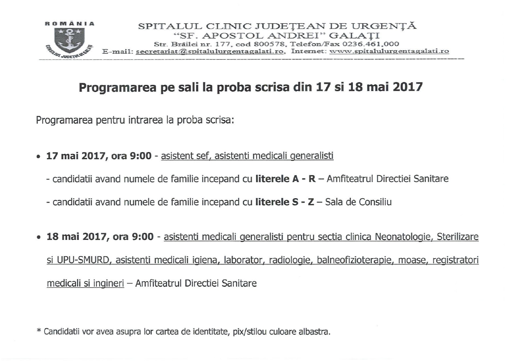

## Programarea pe sali la proba scrisa din 17 si 18 mai 2017

Programarea pentru intrarea la proba scrisa:

- 17 mai 2017, ora 9:00 asistent sef, asistenti medicali generalisti
	- candidatii avand numele de familie incepand cu literele A R Amfiteatrul Directiei Sanitare
	- candidatii avand numele de familie incepand cu literele S Z Sala de Consiliu
- 18 mai 2017, ora 9:00 asistenti medicali generalisti pentru sectia clinica Neonatologie, Sterilizare si UPU-SMURD, asistenti medicali igiena, laborator, radiologie, balneofizioterapie, moase, registratori medicali și ingineri – Amfiteatrul Directiei Sanitare

\* Candidatii vor avea asupra lor cartea de identitate, pix/stilou culoare albastra.